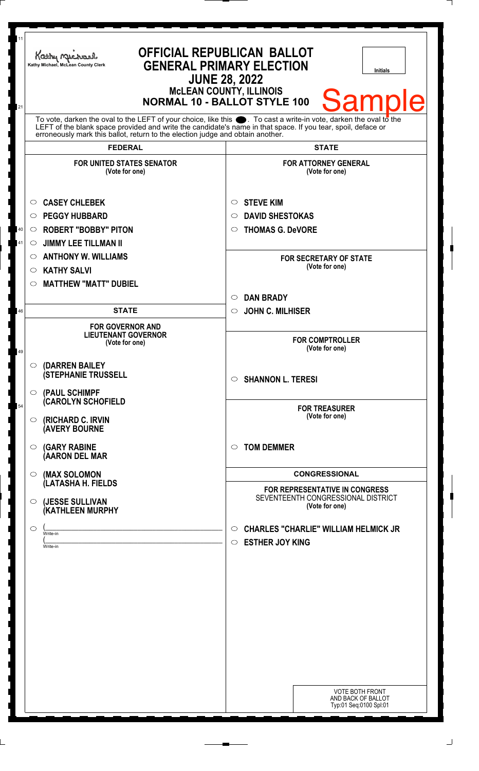| 11<br>21 | <b>OFFICIAL REPUBLICAN BALLOT</b><br>Kathy Michael<br><b>GENERAL PRIMARY ELECTION</b><br>Kathy Michael, McLean County Clerk<br><b>Initials</b><br><b>JUNE 28, 2022</b><br><b>MCLEAN COUNTY, ILLINOIS</b><br><b>Samp</b><br><b>NORMAL 10 - BALLOT STYLE 100</b>                                                         |                                                                                             |
|----------|------------------------------------------------------------------------------------------------------------------------------------------------------------------------------------------------------------------------------------------------------------------------------------------------------------------------|---------------------------------------------------------------------------------------------|
|          | To vote, darken the oval to the LEFT of your choice, like this $\bullet$ . To cast a write-in vote, darken the oval to the LEFT of the boral to the LEFT of the blank space provided and write the candidate's name in that space. I<br>erroneously mark this ballot, return to the election judge and obtain another. |                                                                                             |
|          | <b>FEDERAL</b>                                                                                                                                                                                                                                                                                                         | <b>STATE</b>                                                                                |
|          | <b>FOR UNITED STATES SENATOR</b><br>(Vote for one)                                                                                                                                                                                                                                                                     | <b>FOR ATTORNEY GENERAL</b><br>(Vote for one)                                               |
|          | <b>CASEY CHLEBEK</b><br>O                                                                                                                                                                                                                                                                                              | <b>STEVE KIM</b><br>$\circ$                                                                 |
|          | <b>PEGGY HUBBARD</b><br>◯                                                                                                                                                                                                                                                                                              | <b>DAVID SHESTOKAS</b><br>$\circ$                                                           |
| 40       | <b>ROBERT "BOBBY" PITON</b><br>$\circ$                                                                                                                                                                                                                                                                                 | <b>THOMAS G. DeVORE</b><br>$\circ$                                                          |
| 41       | <b>JIMMY LEE TILLMAN II</b><br>$\circ$                                                                                                                                                                                                                                                                                 |                                                                                             |
|          | <b>ANTHONY W. WILLIAMS</b><br>$\circ$                                                                                                                                                                                                                                                                                  | <b>FOR SECRETARY OF STATE</b>                                                               |
|          | <b>KATHY SALVI</b><br>$\circ$                                                                                                                                                                                                                                                                                          | (Vote for one)                                                                              |
|          | <b>MATTHEW "MATT" DUBIEL</b><br>$\circlearrowright$                                                                                                                                                                                                                                                                    |                                                                                             |
|          |                                                                                                                                                                                                                                                                                                                        | <b>DAN BRADY</b><br>$\circ$                                                                 |
| 46       | <b>STATE</b>                                                                                                                                                                                                                                                                                                           | <b>JOHN C. MILHISER</b><br>$\circ$                                                          |
| 49       | <b>FOR GOVERNOR AND</b><br><b>LIEUTENANT GOVERNOR</b><br>(Vote for one)                                                                                                                                                                                                                                                | <b>FOR COMPTROLLER</b><br>(Vote for one)                                                    |
|          | (DARREN BAILEY<br>◯<br><b>(STEPHANIE TRUSSELL</b>                                                                                                                                                                                                                                                                      | $\circ$ SHANNON L. TERESI                                                                   |
| 54       | (PAUL SCHIMPF<br>$\circ$<br><b>CAROLYN SCHOFIELD</b>                                                                                                                                                                                                                                                                   | <b>FOR TREASURER</b><br>(Vote for one)                                                      |
|          | (RICHARD C. IRVIN<br>$\circ$<br><b>(AVERY BOURNE</b>                                                                                                                                                                                                                                                                   |                                                                                             |
|          | <b>(GARY RABINE</b><br>$\circ$<br>(AARON DEL MAR                                                                                                                                                                                                                                                                       | <b>TOM DEMMER</b><br>$\circ$                                                                |
|          | (MAX SOLOMON<br>$\circ$                                                                                                                                                                                                                                                                                                | <b>CONGRESSIONAL</b>                                                                        |
|          | (LATASHA H. FIELDS<br>(JESSE SULLIVAN<br>$\circ$<br>(KATHLEEN MURPHY                                                                                                                                                                                                                                                   | FOR REPRESENTATIVE IN CONGRESS<br>SEVENTEENTH CONGRESSIONAL DISTRICT<br>(Vote for one)      |
|          | $\circ$<br>Write-in<br>Write-in                                                                                                                                                                                                                                                                                        | <b>CHARLES "CHARLIE" WILLIAM HELMICK JR</b><br>$\circ$<br><b>ESTHER JOY KING</b><br>$\circ$ |
|          |                                                                                                                                                                                                                                                                                                                        | <b>VOTE BOTH FRONT</b><br>AND BACK OF BALLOT<br>Typ:01 Seq:0100 Spl:01                      |